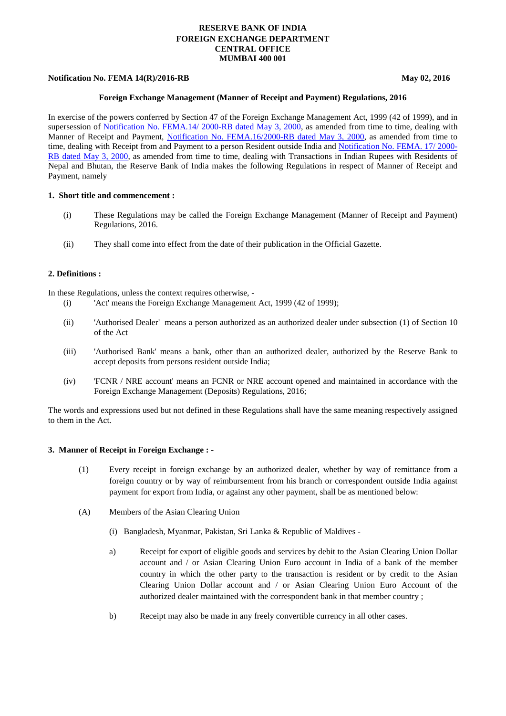# **RESERVE BANK OF INDIA FOREIGN EXCHANGE DEPARTMENT CENTRAL OFFICE MUMBAI 400 001**

### **Notification No. FEMA 14(R)/2016-RB** May 02, 2016

#### **Foreign Exchange Management (Manner of Receipt and Payment) Regulations, 2016**

In exercise of the powers conferred by Section 47 of the Foreign Exchange Management Act, 1999 (42 of 1999), and in supersession of [Notification No. FEMA.14/ 2000-RB dated May 3, 2000,](https://rbi.org.in/Scripts/BS_FemaNotifications.aspx?Id=168) as amended from time to time, dealing with Manner of Receipt and Payment, [Notification No. FEMA.16/2000-RB dated May 3, 2000,](https://rbi.org.in/Scripts/BS_FemaNotifications.aspx?Id=2557) as amended from time to time, dealing with Receipt from and Payment to a person Resident outside India and [Notification No. FEMA. 17/ 2000-](https://rbi.org.in/Scripts/BS_FemaNotifications.aspx?Id=2558) [RB dated May 3, 2000,](https://rbi.org.in/Scripts/BS_FemaNotifications.aspx?Id=2558) as amended from time to time, dealing with Transactions in Indian Rupees with Residents of Nepal and Bhutan, the Reserve Bank of India makes the following Regulations in respect of Manner of Receipt and Payment, namely

#### **1. Short title and commencement :**

- (i) These Regulations may be called the Foreign Exchange Management (Manner of Receipt and Payment) Regulations, 2016.
- (ii) They shall come into effect from the date of their publication in the Official Gazette.

#### **2. Definitions :**

In these Regulations, unless the context requires otherwise, -

- (i) 'Act' means the Foreign Exchange Management Act, 1999 (42 of 1999);
- (ii) 'Authorised Dealer' means a person authorized as an authorized dealer under subsection (1) of Section 10 of the Act
- (iii) 'Authorised Bank' means a bank, other than an authorized dealer, authorized by the Reserve Bank to accept deposits from persons resident outside India;
- (iv) 'FCNR / NRE account' means an FCNR or NRE account opened and maintained in accordance with the Foreign Exchange Management (Deposits) Regulations, 2016;

The words and expressions used but not defined in these Regulations shall have the same meaning respectively assigned to them in the Act.

#### **3. Manner of Receipt in Foreign Exchange : -**

- (1) Every receipt in foreign exchange by an authorized dealer, whether by way of remittance from a foreign country or by way of reimbursement from his branch or correspondent outside India against payment for export from India, or against any other payment, shall be as mentioned below:
- (A) Members of the Asian Clearing Union
	- (i) Bangladesh, Myanmar, Pakistan, Sri Lanka & Republic of Maldives -
	- a) Receipt for export of eligible goods and services by debit to the Asian Clearing Union Dollar account and / or Asian Clearing Union Euro account in India of a bank of the member country in which the other party to the transaction is resident or by credit to the Asian Clearing Union Dollar account and / or Asian Clearing Union Euro Account of the authorized dealer maintained with the correspondent bank in that member country ;
	- b) Receipt may also be made in any freely convertible currency in all other cases.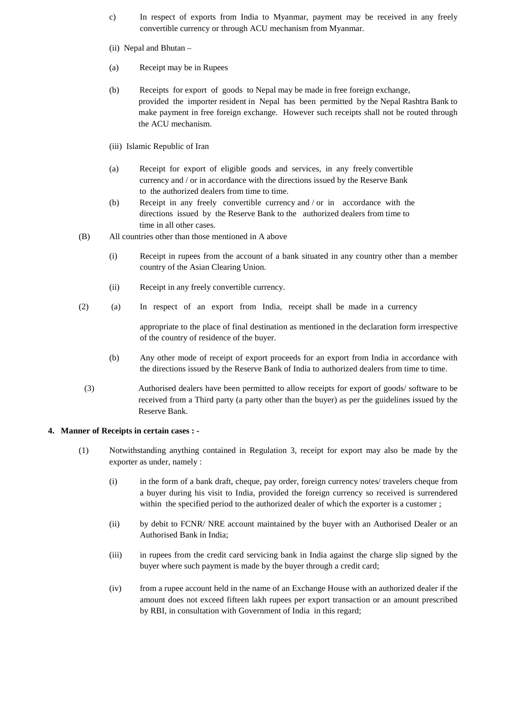- c) In respect of exports from India to Myanmar, payment may be received in any freely convertible currency or through ACU mechanism from Myanmar.
- (ii) Nepal and Bhutan –
- (a) Receipt may be in Rupees
- (b) Receipts for export of goods to Nepal may be made in free foreign exchange, provided the importer resident in Nepal has been permitted by the Nepal Rashtra Bank to make payment in free foreign exchange. However such receipts shall not be routed through the ACU mechanism.
- (iii) Islamic Republic of Iran
- (a) Receipt for export of eligible goods and services, in any freely convertible currency and / or in accordance with the directions issued by the Reserve Bank to the authorized dealers from time to time.
- (b) Receipt in any freely convertible currency and / or in accordance with the directions issued by the Reserve Bank to the authorized dealers from time to time in all other cases.
- (B) All countries other than those mentioned in A above
	- (i) Receipt in rupees from the account of a bank situated in any country other than a member country of the Asian Clearing Union.
	- (ii) Receipt in any freely convertible currency.
- (2) (a) In respect of an export from India, receipt shall be made in a currency

appropriate to the place of final destination as mentioned in the declaration form irrespective of the country of residence of the buyer.

- (b) Any other mode of receipt of export proceeds for an export from India in accordance with the directions issued by the Reserve Bank of India to authorized dealers from time to time.
- (3) Authorised dealers have been permitted to allow receipts for export of goods/ software to be received from a Third party (a party other than the buyer) as per the guidelines issued by the Reserve Bank.

### **4. Manner of Receipts in certain cases : -**

- (1) Notwithstanding anything contained in Regulation 3, receipt for export may also be made by the exporter as under, namely :
	- (i) in the form of a bank draft, cheque, pay order, foreign currency notes/ travelers cheque from a buyer during his visit to India, provided the foreign currency so received is surrendered within the specified period to the authorized dealer of which the exporter is a customer ;
	- (ii) by debit to FCNR/ NRE account maintained by the buyer with an Authorised Dealer or an Authorised Bank in India;
	- (iii) in rupees from the credit card servicing bank in India against the charge slip signed by the buyer where such payment is made by the buyer through a credit card;
	- (iv) from a rupee account held in the name of an Exchange House with an authorized dealer if the amount does not exceed fifteen lakh rupees per export transaction or an amount prescribed by RBI, in consultation with Government of India in this regard;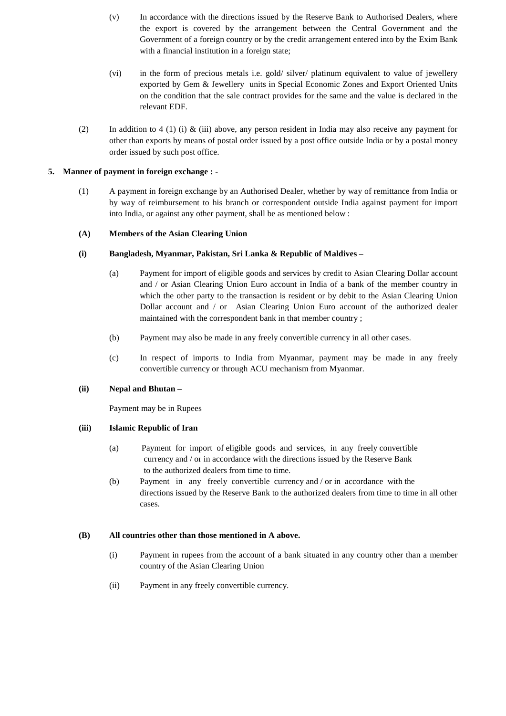- (v) In accordance with the directions issued by the Reserve Bank to Authorised Dealers, where the export is covered by the arrangement between the Central Government and the Government of a foreign country or by the credit arrangement entered into by the Exim Bank with a financial institution in a foreign state;
- (vi) in the form of precious metals i.e. gold/ silver/ platinum equivalent to value of jewellery exported by Gem & Jewellery units in Special Economic Zones and Export Oriented Units on the condition that the sale contract provides for the same and the value is declared in the relevant EDF.
- (2) In addition to 4 (1) (i)  $\&$  (iii) above, any person resident in India may also receive any payment for other than exports by means of postal order issued by a post office outside India or by a postal money order issued by such post office.

# **5. Manner of payment in foreign exchange : -**

(1) A payment in foreign exchange by an Authorised Dealer, whether by way of remittance from India or by way of reimbursement to his branch or correspondent outside India against payment for import into India, or against any other payment, shall be as mentioned below :

# **(A) Members of the Asian Clearing Union**

# **(i) Bangladesh, Myanmar, Pakistan, Sri Lanka & Republic of Maldives –**

- (a) Payment for import of eligible goods and services by credit to Asian Clearing Dollar account and / or Asian Clearing Union Euro account in India of a bank of the member country in which the other party to the transaction is resident or by debit to the Asian Clearing Union Dollar account and / or Asian Clearing Union Euro account of the authorized dealer maintained with the correspondent bank in that member country ;
- (b) Payment may also be made in any freely convertible currency in all other cases.
- (c) In respect of imports to India from Myanmar, payment may be made in any freely convertible currency or through ACU mechanism from Myanmar.

### **(ii) Nepal and Bhutan –**

Payment may be in Rupees

### **(iii) Islamic Republic of Iran**

- (a) Payment for import of eligible goods and services, in any freely convertible currency and / or in accordance with the directions issued by the Reserve Bank to the authorized dealers from time to time.
- (b) Payment in any freely convertible currency and / or in accordance with the directions issued by the Reserve Bank to the authorized dealers from time to time in all other cases.

### **(B) All countries other than those mentioned in A above.**

- (i) Payment in rupees from the account of a bank situated in any country other than a member country of the Asian Clearing Union
- (ii) Payment in any freely convertible currency.